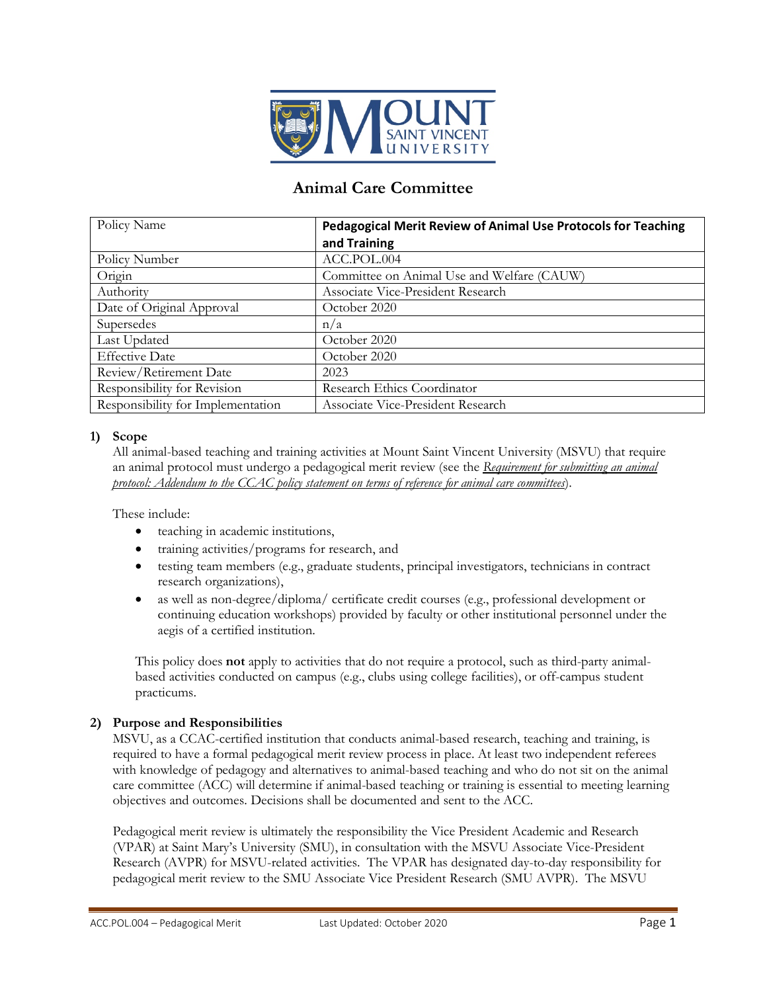

# **Animal Care Committee**

| Policy Name                       | Pedagogical Merit Review of Animal Use Protocols for Teaching |
|-----------------------------------|---------------------------------------------------------------|
|                                   | and Training                                                  |
| Policy Number                     | ACC.POL.004                                                   |
| Origin                            | Committee on Animal Use and Welfare (CAUW)                    |
| Authority                         | Associate Vice-President Research                             |
| Date of Original Approval         | October 2020                                                  |
| Supersedes                        | n/a                                                           |
| Last Updated                      | October 2020                                                  |
| <b>Effective Date</b>             | October 2020                                                  |
| Review/Retirement Date            | 2023                                                          |
| Responsibility for Revision       | Research Ethics Coordinator                                   |
| Responsibility for Implementation | Associate Vice-President Research                             |

## **1) Scope**

All animal-based teaching and training activities at Mount Saint Vincent University (MSVU) that require an animal protocol must undergo a pedagogical merit review (see the *Requirement for submitting an animal protocol: Addendum to the CCAC policy statement on terms of reference for animal care committees*).

These include:

- teaching in academic institutions,
- training activities/programs for research, and
- testing team members (e.g., graduate students, principal investigators, technicians in contract research organizations),
- as well as non-degree/diploma/ certificate credit courses (e.g., professional development or continuing education workshops) provided by faculty or other institutional personnel under the aegis of a certified institution.

This policy does **not** apply to activities that do not require a protocol, such as third-party animalbased activities conducted on campus (e.g., clubs using college facilities), or off-campus student practicums.

## **2) Purpose and Responsibilities**

MSVU, as a CCAC-certified institution that conducts animal-based research, teaching and training, is required to have a formal pedagogical merit review process in place. At least two independent referees with knowledge of pedagogy and alternatives to animal-based teaching and who do not sit on the animal care committee (ACC) will determine if animal-based teaching or training is essential to meeting learning objectives and outcomes. Decisions shall be documented and sent to the ACC.

Pedagogical merit review is ultimately the responsibility the Vice President Academic and Research (VPAR) at Saint Mary's University (SMU), in consultation with the MSVU Associate Vice-President Research (AVPR) for MSVU-related activities. The VPAR has designated day-to-day responsibility for pedagogical merit review to the SMU Associate Vice President Research (SMU AVPR). The MSVU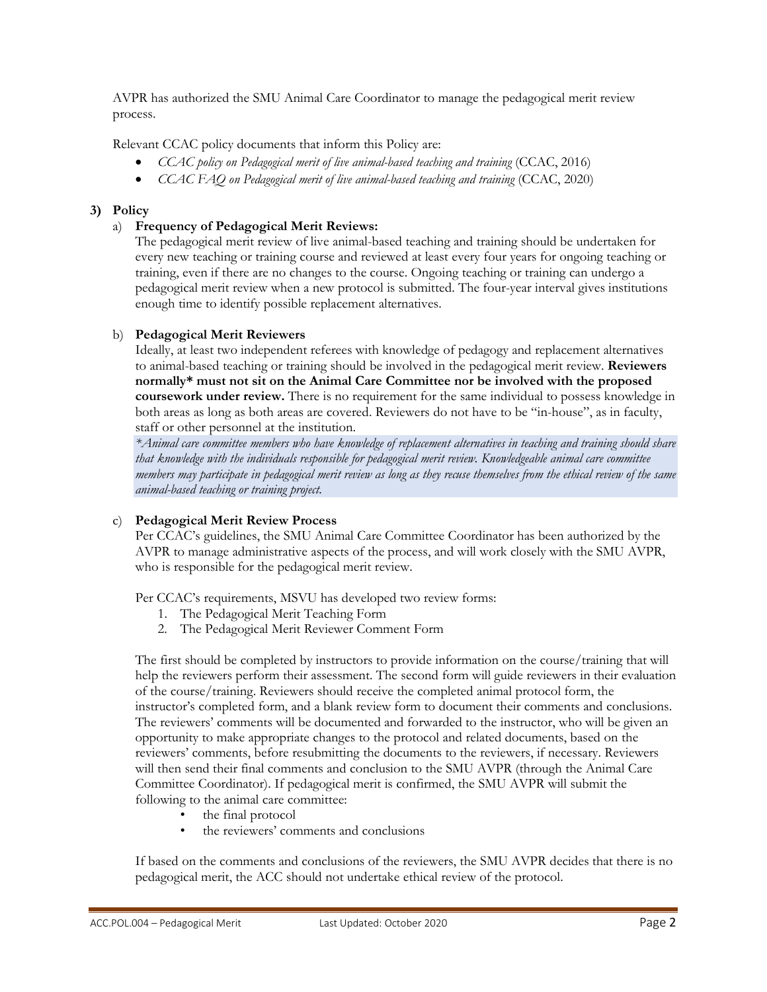AVPR has authorized the SMU Animal Care Coordinator to manage the pedagogical merit review process.

Relevant CCAC policy documents that inform this Policy are:

- *CCAC policy on Pedagogical merit of live animal-based teaching and training (CCAC, 2016)*
- *CCAC FAQ on Pedagogical merit of live animal-based teaching and training (CCAC, 2020)*

## **3) Policy**

## a) **Frequency of Pedagogical Merit Reviews:**

The pedagogical merit review of live animal-based teaching and training should be undertaken for every new teaching or training course and reviewed at least every four years for ongoing teaching or training, even if there are no changes to the course. Ongoing teaching or training can undergo a pedagogical merit review when a new protocol is submitted. The four-year interval gives institutions enough time to identify possible replacement alternatives.

## b) **Pedagogical Merit Reviewers**

Ideally, at least two independent referees with knowledge of pedagogy and replacement alternatives to animal-based teaching or training should be involved in the pedagogical merit review. **Reviewers normally\* must not sit on the Animal Care Committee nor be involved with the proposed coursework under review.** There is no requirement for the same individual to possess knowledge in both areas as long as both areas are covered. Reviewers do not have to be "in-house", as in faculty, staff or other personnel at the institution.

*\*Animal care committee members who have knowledge of replacement alternatives in teaching and training should share that knowledge with the individuals responsible for pedagogical merit review. Knowledgeable animal care committee members may participate in pedagogical merit review as long as they recuse themselves from the ethical review of the same animal-based teaching or training project.*

## c) **Pedagogical Merit Review Process**

Per CCAC's guidelines, the SMU Animal Care Committee Coordinator has been authorized by the AVPR to manage administrative aspects of the process, and will work closely with the SMU AVPR, who is responsible for the pedagogical merit review.

Per CCAC's requirements, MSVU has developed two review forms:

- 1. The Pedagogical Merit Teaching Form
- 2. The Pedagogical Merit Reviewer Comment Form

The first should be completed by instructors to provide information on the course/training that will help the reviewers perform their assessment. The second form will guide reviewers in their evaluation of the course/training. Reviewers should receive the completed animal protocol form, the instructor's completed form, and a blank review form to document their comments and conclusions. The reviewers' comments will be documented and forwarded to the instructor, who will be given an opportunity to make appropriate changes to the protocol and related documents, based on the reviewers' comments, before resubmitting the documents to the reviewers, if necessary. Reviewers will then send their final comments and conclusion to the SMU AVPR (through the Animal Care Committee Coordinator). If pedagogical merit is confirmed, the SMU AVPR will submit the following to the animal care committee:

- the final protocol
- the reviewers' comments and conclusions

If based on the comments and conclusions of the reviewers, the SMU AVPR decides that there is no pedagogical merit, the ACC should not undertake ethical review of the protocol.